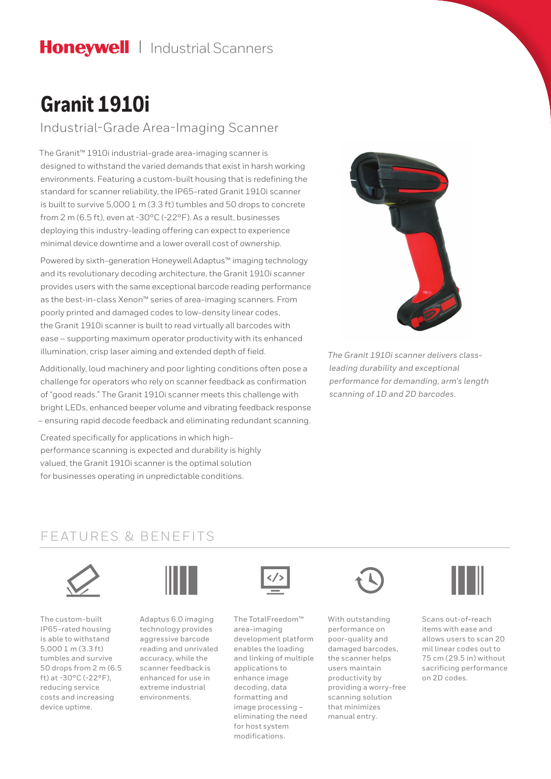## Honeywell | Industrial Scanners

# **Granit 1910i**

Industrial-Grade Area-Imaging Scanner

The Granit™ 1910i industrial-grade area-imaging scanner is designed to withstand the varied demands that exist in harsh working environments. Featuring a custom-built housing that is redefining the standard for scanner reliability, the IP65-rated Granit 1910i scanner is built to survive 5,000 1 m (3.3 ft) tumbles and 50 drops to concrete from 2 m (6.5 ft), even at -30°C (-22°F). As a result, businesses deploying this industry-leading offering can expect to experience minimal device downtime and a lower overall cost of ownership.

Powered by sixth-generation Honeywell Adaptus™ imaging technology and its revolutionary decoding architecture, the Granit 1910i scanner provides users with the same exceptional barcode reading performance as the best-in-class Xenon™ series of area-imaging scanners. From poorly printed and damaged codes to low-density linear codes, the Granit 1910i scanner is built to read virtually all barcodes with ease – supporting maximum operator productivity with its enhanced illumination, crisp laser aiming and extended depth of field.

Additionally, loud machinery and poor lighting conditions often pose a challenge for operators who rely on scanner feedback as confirmation of "good reads." The Granit 1910i scanner meets this challenge with bright LEDs, enhanced beeper volume and vibrating feedback response – ensuring rapid decode feedback and eliminating redundant scanning.

Created specifically for applications in which highperformance scanning is expected and durability is highly valued, the Granit 1910i scanner is the optimal solution for businesses operating in unpredictable conditions.



*The Granit 1910i scanner delivers classleading durability and exceptional performance for demanding, arm's length scanning of 1D and 2D barcodes.*

### FEATURES & BENEFITS



The custom-built IP65-rated housing is able to withstand 5,000 1 m (3.3 ft) tumbles and survive 50 drops from 2 m (6.5 ft) at -30°C (-22°F), reducing service costs and increasing device uptime.



Adaptus 6.0 imaging technology provides aggressive barcode reading and unrivaled accuracy, while the scanner feedback is enhanced for use in extreme industrial environments.



The TotalFreedom™ area-imaging development platform enables the loading and linking of multiple applications to enhance image decoding, data formatting and image processing – eliminating the need for host system modifications.



With outstanding performance on poor-quality and damaged barcodes, the scanner helps users maintain productivity by providing a worry-free scanning solution that minimizes manual entry.



Scans out-of-reach items with ease and allows users to scan 20 mil linear codes out to 75 cm (29.5 in) without sacrificing performance on 2D codes.